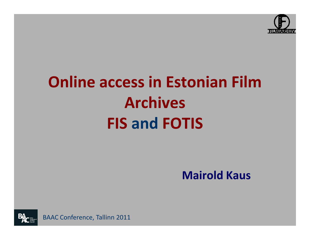

# Online access in Estonian Film ArchivesFIS and FOTIS

Mairold Kaus



BAAC Conference, Tallinn 2011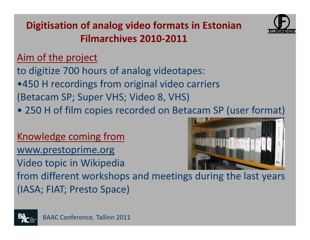



### Aim of the project

to digitize 700 hours of analog videotapes:•450 H recordings from original video carriers(Betacam SP; Super VHS; Video 8, VHS)

• 250 H of film copies recorded on Betacam SP (user format)

Knowledge coming fromwww.prestoprime.orgVideo topic in Wikipedia



 from different workshops and meetings during the last years(IASA; FIAT; Presto Space)

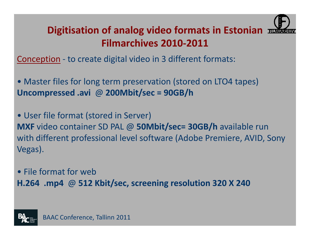

# Digitisation of analog video formats in Estonian  $\pm$ Filmarchives 2010-2011

Conception - to create digital video in 3 different formats:

• Master files for long term preservation (stored on LTO4 tapes)<br>Uncommenced out @ 20014bit/see - 89GB/b Uncompressed .avi @ 200Mbit/sec = 90GB/h

• User file format (stored in Server) MXF video container SD PAL @ 50Mbit/sec= 30GB/h available run with different professional level software (Adobe Premiere, AVID, Sony Vegas).

• File format for webH.264 .mp4 @ 512 Kbit/sec, screening resolution 320 X 240

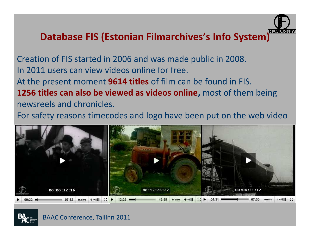

Creation of FIS started in 2006 and was made public in 2008.In 2011 users can view videos online for free.At the present moment **9614 titles** of film can be found in FIS. 1256 titles can also be viewed as videos online, most of them being newsreels and chronicles.

For safety reasons timecodes and logo have been put on the web video





BAAC Conference, Tallinn 2011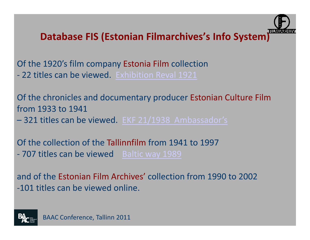

Of the 1920's film company Estonia Film collection - 22 titles can be viewed. Exhibition Reval 1921

Of the chronicles and documentary producer Estonian Culture Filmfrom 1933 to 1941

–- 321 titles can be viewed. EKF 21/1938 Ambassador's

Of the collection of the Tallinnfilm from 1941 to 1997<br>2021 titles san ha viewed. Boltiowev 1080 707 titles can be viewed Baltic way 1989

and of the Estonian Film Archives' collection from 1990 to 2002-101 titles can be viewed online.

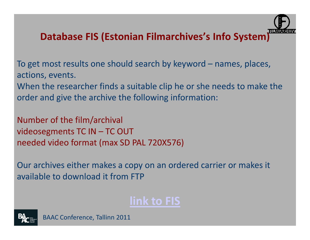

To get most results one should search by keyword – names, places, actions, events.

When the researcher finds a suitable clip he or she needs to make the order and give the archive the following information:

Number of the film/archivalvideosegments TC IN – TC OUT needed video format (max SD PAL 720X576)

Our archives either makes a copy on an ordered carrier or makes it available to download it from FTP

# link to FIS

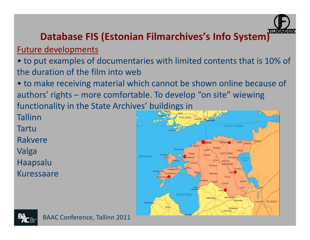

#### Future developments

• to put examples of documentaries with limited contents that is 10% of the duration of the film into web

 • to make receiving material which cannot be shown online because of authors' rights – more comfortable. To develop "on site" wiewing functionality in the State Archives' buildings in

Tallinn

Tartu

Rakvere

Valga

Haapsalu

Kuressaare



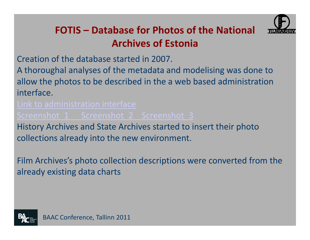

Creation of the database started in 2007.

A thoroughal analyses of the metadata and modelising was done to allow the photos to be described in the a web based administration interface.

Screenshot 1 Screenshot 2 Screenshot 3

 History Archives and State Archives started to insert their photo collections already into the new environment.

Film Archives's photo collection descriptions were converted from the already existing data charts

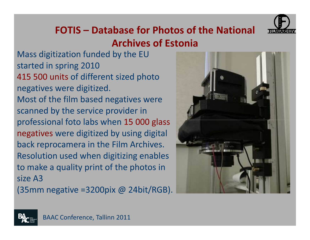

Mass digitization funded by the EU started in spring 2010 415 500 units of different sized photo negatives were digitized. Most of the film based negatives were scanned by the service provider in professional foto labs when 15 000 glass negatives were digitized by using digital back reprocamera in the Film Archives. Resolution used when digitizing enables to make a quality print of the photos in size A3

(35mm negative =3200pix @ 24bit/RGB).



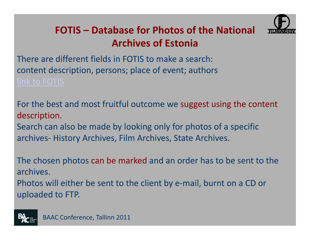

There are different fields in FOTIS to make a search:content description, persons; place of event; authors

For the best and most fruitful outcome we suggest using the content description.Search can also be made by looking only for photos of a specific

archives- History Archives, Film Archives, State Archives.

The chosen photos can be marked and an order has to be sent to the archives. Photos will either be sent to the client by e-mail, burnt on a CD or uploaded to FTP.

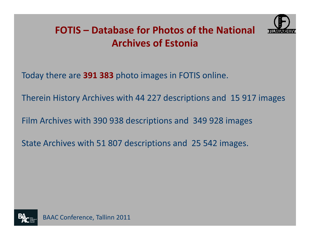

Today there are 391 383 photo images in FOTIS online.

Therein History Archives with 44 227 descriptions and 15 917 images

Film Archives with 390 938 descriptions and 349 928 images

State Archives with 51 807 descriptions and 25 542 images.